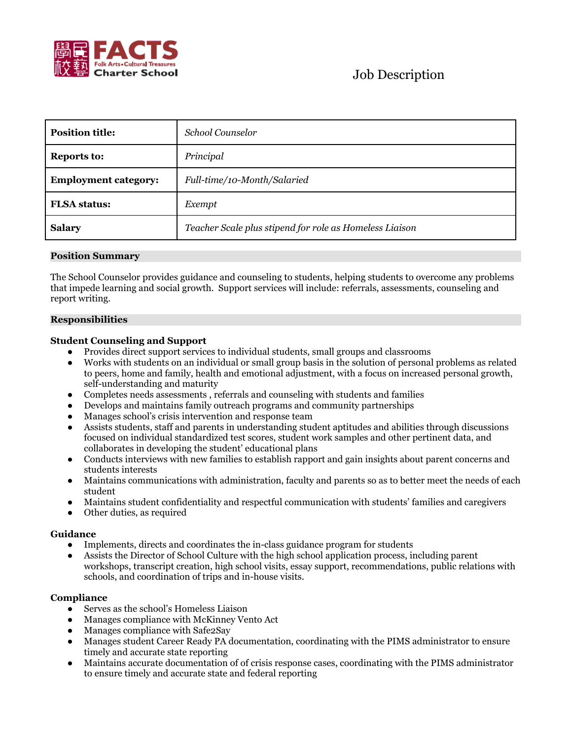

| <b>Position title:</b>      | <b>School Counselor</b>                                 |
|-----------------------------|---------------------------------------------------------|
| <b>Reports to:</b>          | Principal                                               |
| <b>Employment category:</b> | Full-time/10-Month/Salaried                             |
| <b>FLSA</b> status:         | Exempt                                                  |
| <b>Salary</b>               | Teacher Scale plus stipend for role as Homeless Liaison |

# **Position Summary**

The School Counselor provides guidance and counseling to students, helping students to overcome any problems that impede learning and social growth. Support services will include: referrals, assessments, counseling and report writing.

### **Responsibilities**

# **Student Counseling and Support**

- Provides direct support services to individual students, small groups and classrooms
- Works with students on an individual or small group basis in the solution of personal problems as related to peers, home and family, health and emotional adjustment, with a focus on increased personal growth, self-understanding and maturity
- Completes needs assessments , referrals and counseling with students and families
- Develops and maintains family outreach programs and community partnerships
- Manages school's crisis intervention and response team
- Assists students, staff and parents in understanding student aptitudes and abilities through discussions focused on individual standardized test scores, student work samples and other pertinent data, and collaborates in developing the student' educational plans
- Conducts interviews with new families to establish rapport and gain insights about parent concerns and students interests
- Maintains communications with administration, faculty and parents so as to better meet the needs of each student
- Maintains student confidentiality and respectful communication with students' families and caregivers
- Other duties, as required

### **Guidance**

- Implements, directs and coordinates the in-class guidance program for students
- Assists the Director of School Culture with the high school application process, including parent workshops, transcript creation, high school visits, essay support, recommendations, public relations with schools, and coordination of trips and in-house visits.

## **Compliance**

- Serves as the school's Homeless Liaison
- Manages compliance with McKinney Vento Act
- Manages compliance with Safe2Say
- Manages student Career Ready PA documentation, coordinating with the PIMS administrator to ensure timely and accurate state reporting
- Maintains accurate documentation of of crisis response cases, coordinating with the PIMS administrator to ensure timely and accurate state and federal reporting